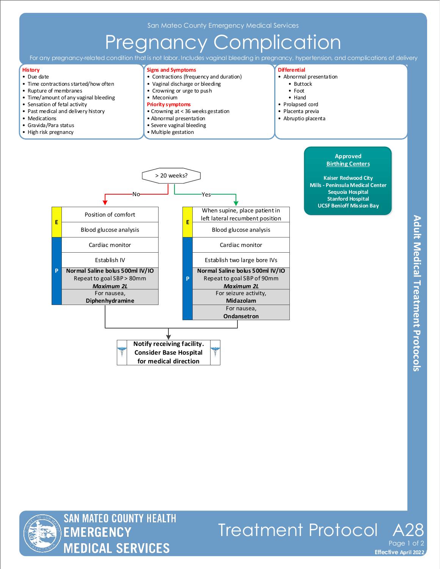## Pregnancy Complication

For any pregnancy-related condition that is not labor. Includes vaginal bleeding in pregnancy, hypertension, and complications of delivery

#### **History**

- Due date • Time contractions started/how often
- Rupture of membranes
- Time/amount of any vaginal bleeding
- Sensation of fetal activity
- Past medical and delivery history
- Medications
- Gravida/Para status
- High risk pregnancy

#### **Signs and Symptoms**

- Contractions (frequency and duration)
- Vaginal discharge or bleeding
- Crowning or urge to push
- Meconium
- **Priority symptoms**
- Crowning at < 36 weeks gestation
- Abnormal presentation
- Severe vaginal bleeding
- Multiple gestation

#### **Differential**

- Abnormal presentation
	- Buttock
	- Foot
	- Hand
- Prolapsed cord
- Placenta previa
- Abruptio placenta

**Approved Birthing Centers Kaiser Redwood City Mills - Peninsula Medical Center Sequoia Hospital Stanford Hospital UCSF Benioff Mission Bay**





Treatment Protocol Page